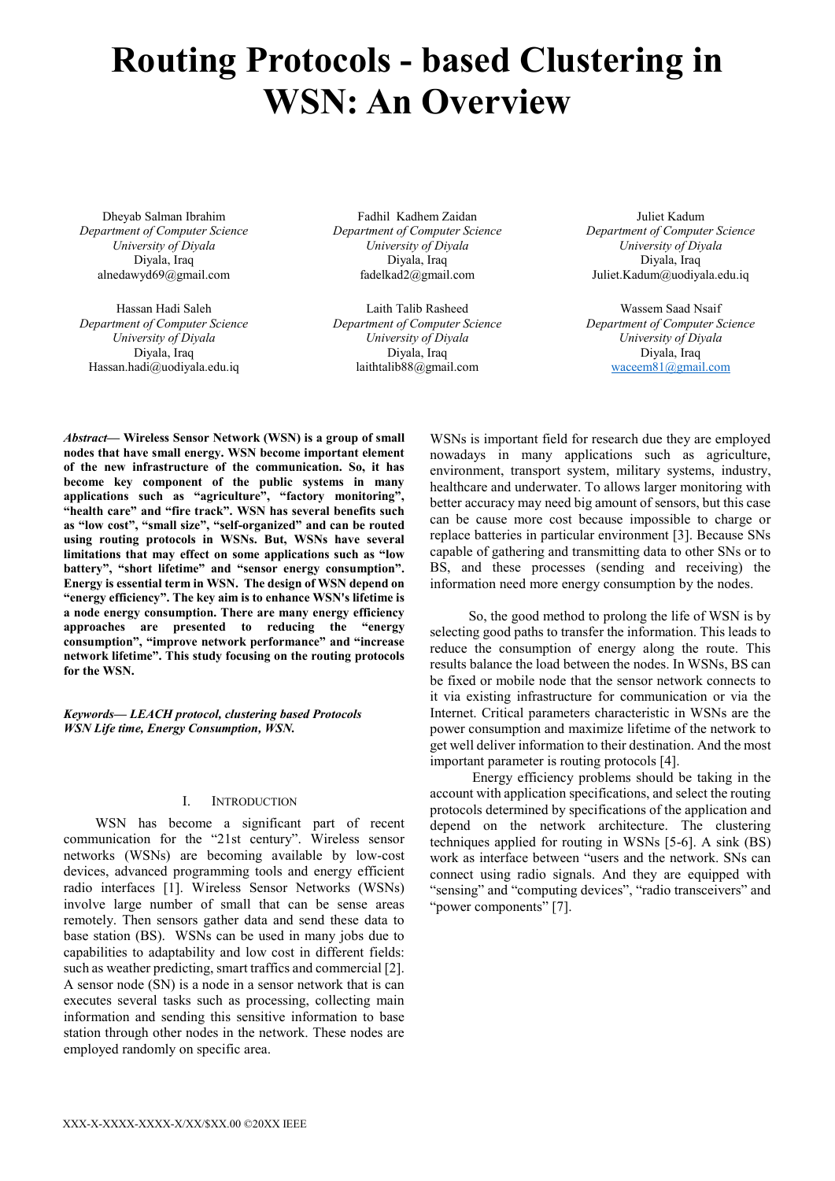# **Routing Protocols - based Clustering in WSN: An Overview**

Dheyab Salman Ibrahim *Department of Computer Science University of Diyala* Diyala, Iraq alnedawyd69@gmail.com

Hassan Hadi Saleh *Department of Computer Science University of Diyala* Diyala, Iraq Hassan.hadi@uodiyala.edu.iq

Fadhil Kadhem Zaidan *Department of Computer Science University of Diyala* Diyala, Iraq fadelkad2@gmail.com

Laith Talib Rasheed *Department of Computer Science University of Diyala* Diyala, Iraq laithtalib88@gmail.com

Juliet Kadum *Department of Computer Science University of Diyala* Diyala, Iraq Juliet.Kadum@uodiyala.edu.iq

Wassem Saad Nsaif *Department of Computer Science University of Diyala* Diyala, Iraq [waceem81@gmail.com](mailto:waceem81@gmail.com)

*Abstract***— Wireless Sensor Network (WSN) is a group of small nodes that have small energy. WSN become important element of the new infrastructure of the communication. So, it has become key component of the public systems in many applications such as "agriculture", "factory monitoring", "health care" and "fire track". WSN has several benefits such as "low cost", "small size", "self-organized" and can be routed using routing protocols in WSNs. But, WSNs have several limitations that may effect on some applications such as "low battery", "short lifetime" and "sensor energy consumption". Energy is essential term in WSN. The design of WSN depend on "energy efficiency". The key aim is to enhance WSN's lifetime is a node energy consumption. There are many energy efficiency approaches are presented to reducing the "energy consumption", "improve network performance" and "increase network lifetime". This study focusing on the routing protocols for the WSN.** 

*Keywords— LEACH protocol, clustering based Protocols WSN Life time, Energy Consumption, WSN.*

#### I. INTRODUCTION

 WSN has become a significant part of recent communication for the "21st century". Wireless sensor networks (WSNs) are becoming available by low-cost devices, advanced programming tools and energy efficient radio interfaces [1]. Wireless Sensor Networks (WSNs) involve large number of small that can be sense areas remotely. Then sensors gather data and send these data to base station (BS). WSNs can be used in many jobs due to capabilities to adaptability and low cost in different fields: such as weather predicting, smart traffics and commercial [2]. A sensor node (SN) is a node in a sensor network that is can executes several tasks such as processing, collecting main information and sending this sensitive information to base station through other nodes in the network. These nodes are employed randomly on specific area.

WSNs is important field for research due they are employed nowadays in many applications such as agriculture, environment, transport system, military systems, industry, healthcare and underwater. To allows larger monitoring with better accuracy may need big amount of sensors, but this case can be cause more cost because impossible to charge or replace batteries in particular environment [3]. Because SNs capable of gathering and transmitting data to other SNs or to BS, and these processes (sending and receiving) the information need more energy consumption by the nodes.

 So, the good method to prolong the life of WSN is by selecting good paths to transfer the information. This leads to reduce the consumption of energy along the route. This results balance the load between the nodes. In WSNs, BS can be fixed or mobile node that the sensor network connects to it via existing infrastructure for communication or via the Internet. Critical parameters characteristic in WSNs are the power consumption and maximize lifetime of the network to get well deliver information to their destination. And the most important parameter is routing protocols [4].

 Energy efficiency problems should be taking in the account with application specifications, and select the routing protocols determined by specifications of the application and depend on the network architecture. The clustering techniques applied for routing in WSNs [5-6]. A sink (BS) work as interface between "users and the network. SNs can connect using radio signals. And they are equipped with "sensing" and "computing devices", "radio transceivers" and "power components" [7].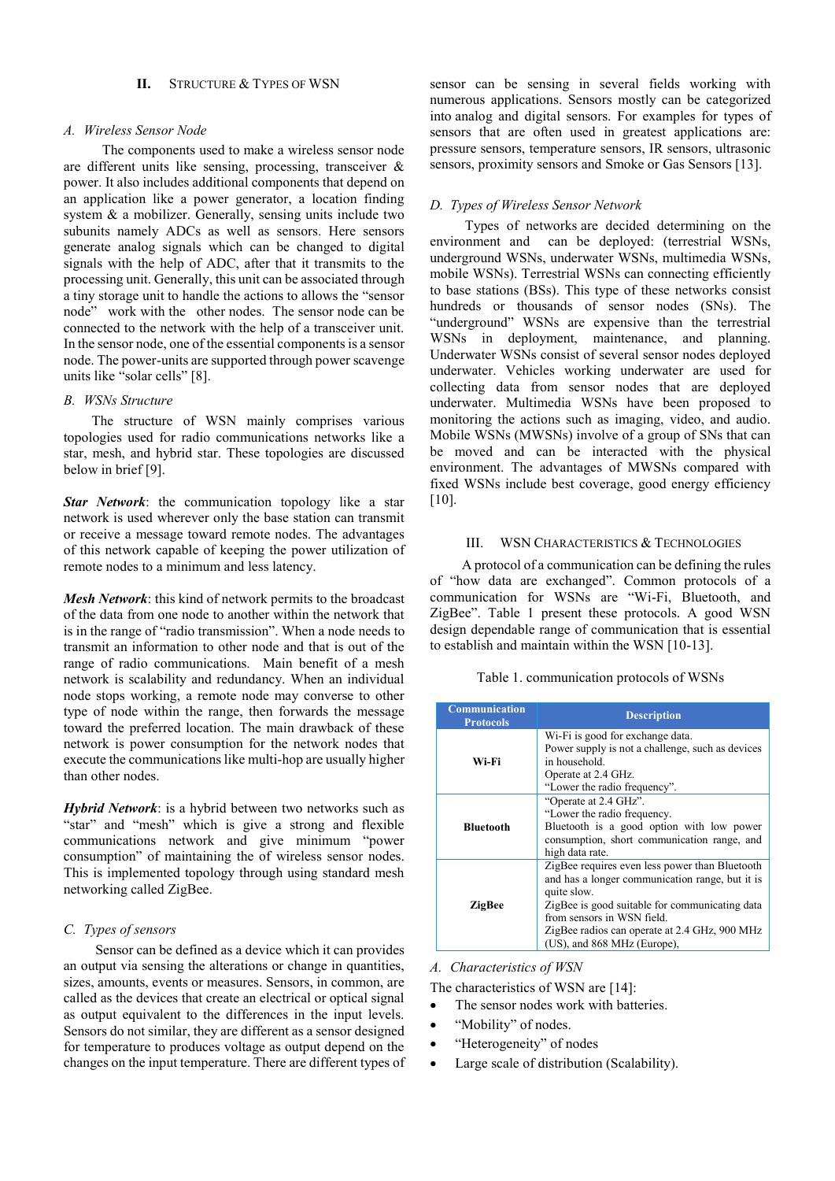## **II.** STRUCTURE & TYPES OF WSN

## *A. Wireless Sensor Node*

 The components used to make a wireless sensor node are different units like sensing, processing, transceiver & power. It also includes additional components that depend on an application like a power generator, a location finding system & a mobilizer. Generally, sensing units include two subunits namely ADCs as well as sensors. Here sensors generate analog signals which can be changed to digital signals with the help of ADC, after that it transmits to the processing unit. Generally, this unit can be associated through a tiny storage unit to handle the actions to allows the "sensor node" work with the other nodes. The sensor node can be connected to the network with the help of a transceiver unit. In the sensor node, one of the essential components is a sensor node. The power-units are supported through power scavenge units like "solar cells" [8].

#### *B. WSNs Structure*

 The structure of WSN mainly comprises various topologies used for radio communications networks like a star, mesh, and hybrid star. These topologies are discussed below in brief [9].

*Star Network*: the communication topology like a star network is used wherever only the base station can transmit or receive a message toward remote nodes. The advantages of this network capable of keeping the power utilization of remote nodes to a minimum and less latency.

*Mesh Network*: this kind of network permits to the broadcast of the data from one node to another within the network that is in the range of "radio transmission". When a node needs to transmit an information to other node and that is out of the range of radio communications. Main benefit of a mesh network is scalability and redundancy. When an individual node stops working, a remote node may converse to other type of node within the range, then forwards the message toward the preferred location. The main drawback of these network is power consumption for the network nodes that execute the communications like multi-hop are usually higher than other nodes.

*Hybrid Network*: is a hybrid between two networks such as "star" and "mesh" which is give a strong and flexible communications network and give minimum "power consumption" of maintaining the of wireless sensor nodes. This is implemented topology through using standard mesh networking called ZigBee.

## *C. Types of sensors*

 Sensor can be defined as a device which it can provides an output via sensing the alterations or change in quantities, sizes, amounts, events or measures. Sensors, in common, are called as the devices that create an electrical or optical signal as output equivalent to the differences in the input levels. Sensors do not similar, they are different as a sensor designed for temperature to produces voltage as output depend on the changes on the input temperature. There are different types of sensor can be sensing in several fields working with numerous applications. Sensors mostly can be categorized into [analog and digital sensors. F](https://www.elprocus.com/types-analog-digital-sensors/)or examples for types of sensors that are often used in greatest applications are: pressure sensors, temperature sensors, IR sensors, ultrasonic sensors, proximity sensors and Smoke or Gas Sensors [13].

## *D. Types of Wireless Sensor Network*

 Types [of networks](https://www.elprocus.com/important-of-network-in-embedded-systems-for-beginners/) are decided determining on the environment and can be deployed: (terrestrial WSNs, underground WSNs, underwater WSNs, multimedia WSNs, mobile WSNs). Terrestrial WSNs can connecting efficiently to base stations (BSs). This type of these networks consist hundreds or thousands of sensor nodes (SNs). The "underground" WSNs are expensive than the terrestrial WSNs in deployment, maintenance, and planning. Underwater WSNs consist of several sensor nodes deployed underwater. Vehicles working underwater are used for collecting data from sensor nodes that are deployed underwater. Multimedia WSNs have been proposed to monitoring the actions such as imaging, video, and audio. Mobile WSNs (MWSNs) involve of a group of SNs that can be moved and can be interacted with the physical environment. The advantages of MWSNs compared with fixed WSNs include best coverage, good energy efficiency  $[10]$ .

## III. WSN CHARACTERISTICS & TECHNOLOGIES

 A protocol of a communication can be defining the rules of "how data are exchanged". Common protocols of a communication for WSNs are "Wi-Fi, Bluetooth, and ZigBee". Table 1 present these protocols. A good WSN design dependable range of communication that is essential to establish and maintain within the WSN [10-13].

Table 1. communication protocols of WSNs

| <b>Communication</b><br><b>Protocols</b> | <b>Description</b>                               |
|------------------------------------------|--------------------------------------------------|
| Wi-Fi                                    | Wi-Fi is good for exchange data.                 |
|                                          | Power supply is not a challenge, such as devices |
|                                          | in household.                                    |
|                                          | Operate at 2.4 GHz.                              |
|                                          | "Lower the radio frequency".                     |
| <b>Bluetooth</b>                         | "Operate at 2.4 GHz".                            |
|                                          | "Lower the radio frequency.                      |
|                                          | Bluetooth is a good option with low power        |
|                                          | consumption, short communication range, and      |
|                                          | high data rate.                                  |
| <b>ZigBee</b>                            | ZigBee requires even less power than Bluetooth   |
|                                          | and has a longer communication range, but it is  |
|                                          | quite slow.                                      |
|                                          | ZigBee is good suitable for communicating data   |
|                                          | from sensors in WSN field.                       |
|                                          | ZigBee radios can operate at 2.4 GHz, 900 MHz    |
|                                          | (US), and 868 MHz (Europe),                      |

*A. Characteristics of WSN* 

The characteristics of WSN are [14]:

- The sensor nodes work with batteries.
- "Mobility" of nodes.
- "Heterogeneity" of nodes
- Large scale of distribution (Scalability).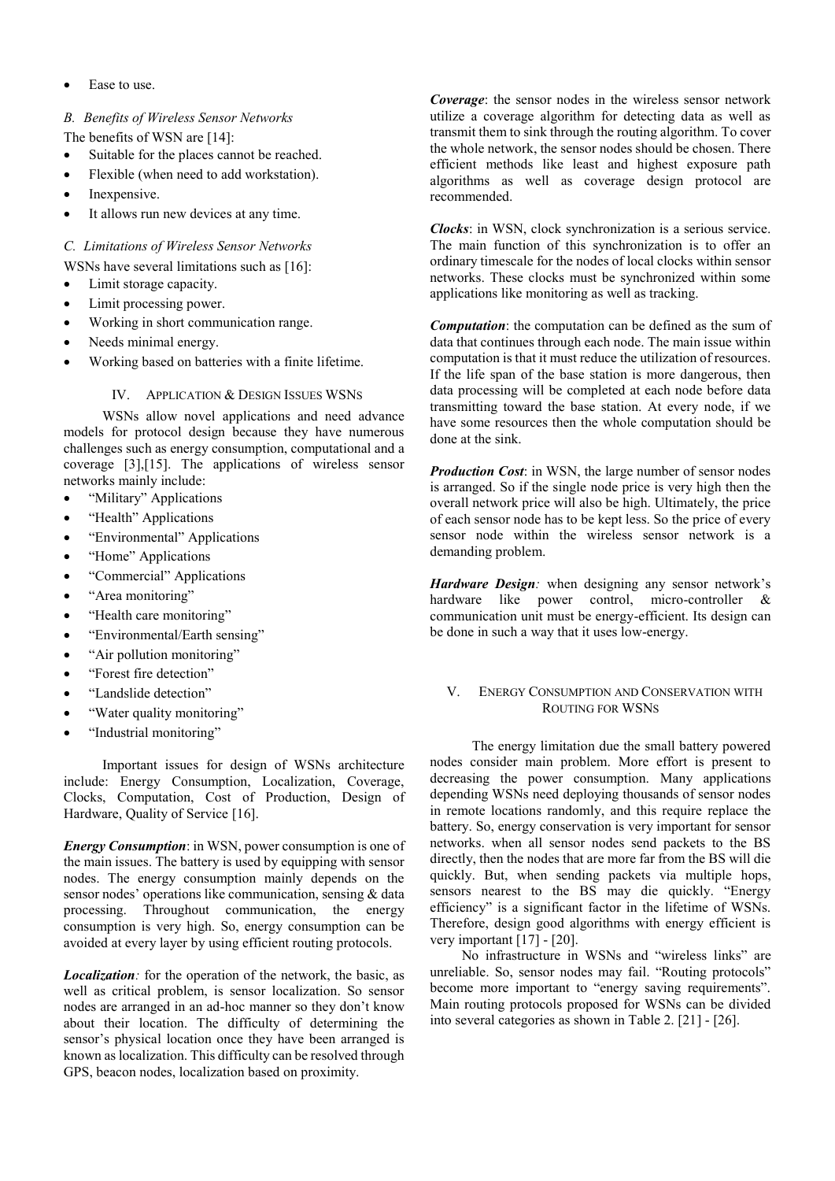Ease to use.

## *B. Benefits of Wireless Sensor Networks*

The benefits of WSN are [14]:

- Suitable for the places cannot be reached.
- Flexible (when need to add workstation).
- Inexpensive.
- It allows run new devices at any time.

## *C. Limitations of Wireless Sensor Networks*

- WSNs have several limitations such as [16]:
- Limit storage capacity.
- Limit processing power.
- Working in short communication range.
- Needs minimal energy.
- Working based on batteries with a finite lifetime.

## IV. APPLICATION & DESIGN ISSUES WSNS

 WSNs allow novel applications and need advance models for protocol design because they have numerous challenges such as energy consumption, computational and a coverage [3],[15]. The applications of wireless sensor networks mainly include:

- "Military" Applications
- "Health" Applications
- "Environmental" Applications
- "Home" Applications
- "Commercial" Applications
- "Area monitoring"
- "[Health care monitoring](https://www.elprocus.com/automatic-wireless-health-monitoring-system-circuit/)"
- "Environmental/Earth sensing"
- "Air pollution monitoring"
- "Forest fire detection"
- "Landslide detection"
- "Water quality monitoring"
- "[Industrial monitoring](https://www.elprocus.com/industrial-automation-control-using-can-protocol/)"

 Important issues for design of WSNs architecture include: Energy Consumption, Localization, Coverage, Clocks, Computation, Cost of Production, Design of Hardware, Quality of Service [16].

*Energy Consumption*: in WSN, power consumption is one of the main issues. The battery is used by equipping with sensor nodes. The energy consumption mainly depends on the sensor nodes' operations like communication, sensing & data processing. Throughout communication, the energy consumption is very high. So, energy consumption can be avoided at every layer by using efficient routing protocols.

*Localization:* for the operation of the network, the basic, as well as critical problem, is sensor localization. So sensor nodes are arranged in an ad-hoc manner so they don't know about their location. The difficulty of determining the sensor's physical location once they have been arranged is known as localization. This difficulty can be resolved through GPS, beacon nodes, localization based on proximity.

*Coverage*: the sensor nodes in the wireless sensor network utilize a coverage algorithm for detecting data as well as transmit them to sink through the routing algorithm. To cover the whole network, the sensor nodes should be chosen. There efficient methods like least and highest exposure path algorithms as well as coverage design protocol are recommended.

*Clocks*: in WSN, clock synchronization is a serious service. The main function of this synchronization is to offer an ordinary timescale for the nodes of local clocks within sensor networks. These clocks must be synchronized within some applications like monitoring as well as tracking.

*Computation*: the computation can be defined as the sum of data that continues through each node. The main issue within computation is that it must reduce the utilization of resources. If the life span of the base station is more dangerous, then data processing will be completed at each node before data transmitting toward the base station. At every node, if we have some resources then the whole computation should be done at the sink.

*Production Cost*: in WSN, the large number of sensor nodes is arranged. So if the single node price is very high then the overall network price will also be high. Ultimately, the price of each sensor node has to be kept less. So the price of every sensor node within the wireless sensor network is a demanding problem.

*Hardware Design:* when designing any sensor network's hardware like power control, micro-controller & communication unit must be energy-efficient. Its design can be done in such a way that it uses low-energy.

## V. ENERGY CONSUMPTION AND CONSERVATION WITH ROUTING FOR WSNS

 The energy limitation due the small battery powered nodes consider main problem. More effort is present to decreasing the power consumption. Many applications depending WSNs need deploying thousands of sensor nodes in remote locations randomly, and this require replace the battery. So, energy conservation is very important for sensor networks. when all sensor nodes send packets to the BS directly, then the nodes that are more far from the BS will die quickly. But, when sending packets via multiple hops, sensors nearest to the  $\overrightarrow{BS}$  may die quickly. "Energy efficiency" is a significant factor in the lifetime of WSNs. Therefore, design good algorithms with energy efficient is very important [17] - [20].

 No infrastructure in WSNs and "wireless links" are unreliable. So, sensor nodes may fail. "Routing protocols" become more important to "energy saving requirements". Main routing protocols proposed for WSNs can be divided into several categories as shown in Table 2. [21] - [26].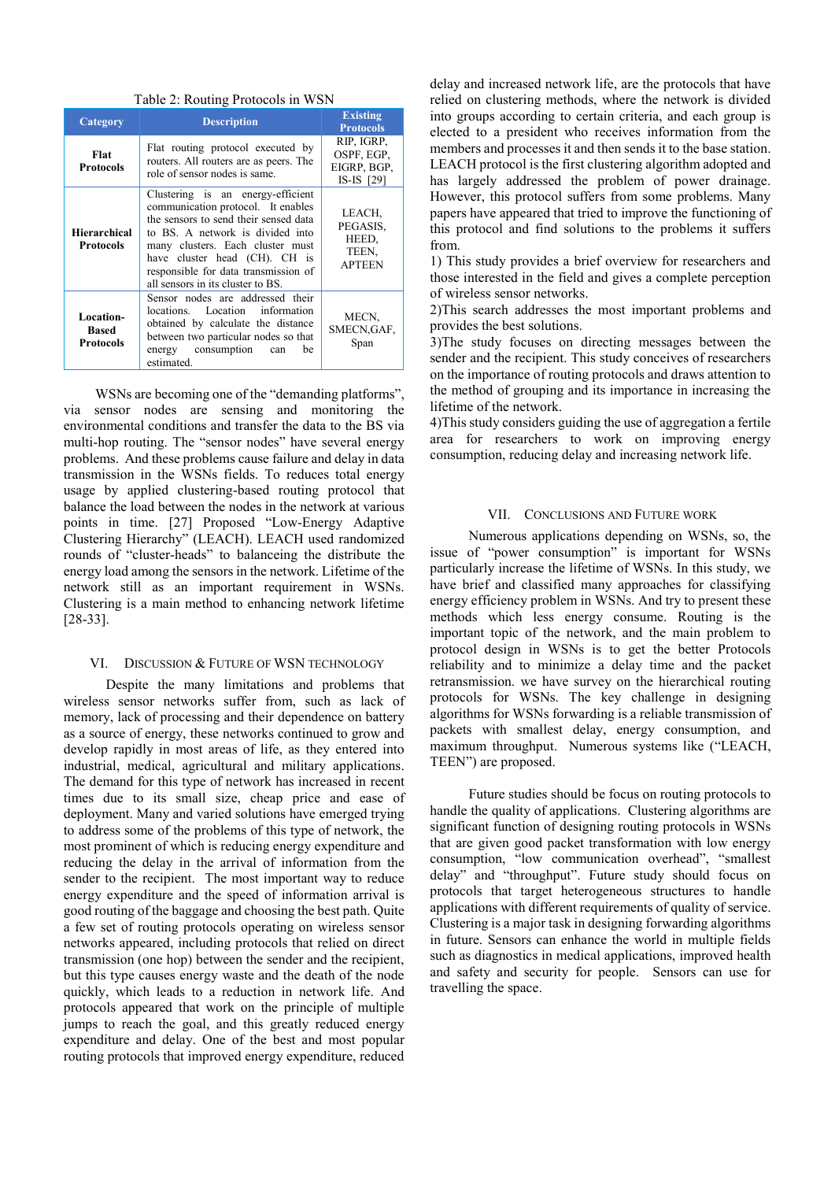Table 2: Routing Protocols in WSN

| Category                                      | <b>Description</b>                                                                                                                                                                                                                                                                                     | <b>Existing</b><br><b>Protocols</b>                   |
|-----------------------------------------------|--------------------------------------------------------------------------------------------------------------------------------------------------------------------------------------------------------------------------------------------------------------------------------------------------------|-------------------------------------------------------|
| Flat<br><b>Protocols</b>                      | Flat routing protocol executed by<br>routers. All routers are as peers. The<br>role of sensor nodes is same.                                                                                                                                                                                           | RIP, IGRP,<br>OSPF, EGP,<br>EIGRP, BGP,<br>IS-IS [29] |
| <b>Hierarchical</b><br><b>Protocols</b>       | Clustering is an energy-efficient<br>communication protocol. It enables<br>the sensors to send their sensed data<br>to BS. A network is divided into<br>many clusters. Each cluster must<br>have cluster head (CH). CH is<br>responsible for data transmission of<br>all sensors in its cluster to BS. | LEACH,<br>PEGASIS,<br>HEED.<br>TEEN,<br><b>APTEEN</b> |
| Location-<br><b>Based</b><br><b>Protocols</b> | Sensor nodes are addressed their<br>locations. Location information<br>obtained by calculate the distance<br>between two particular nodes so that<br>energy consumption<br>be<br>can<br>estimated.                                                                                                     | MECN,<br>SMECN, GAF,<br>Span                          |

 WSNs are becoming one of the "demanding platforms", via sensor nodes are sensing and monitoring the environmental conditions and transfer the data to the BS via multi-hop routing. The "sensor nodes" have several energy problems. And these problems cause failure and delay in data transmission in the WSNs fields. To reduces total energy usage by applied clustering-based routing protocol that balance the load between the nodes in the network at various points in time. [27] Proposed "Low-Energy Adaptive Clustering Hierarchy" (LEACH). LEACH used randomized rounds of "cluster-heads" to balanceing the distribute the energy load among the sensors in the network. Lifetime of the network still as an important requirement in WSNs. Clustering is a main method to enhancing network lifetime [28-33].

#### VI. DISCUSSION & FUTURE OF WSN TECHNOLOGY

 Despite the many limitations and problems that wireless sensor networks suffer from, such as lack of memory, lack of processing and their dependence on battery as a source of energy, these networks continued to grow and develop rapidly in most areas of life, as they entered into industrial, medical, agricultural and military applications. The demand for this type of network has increased in recent times due to its small size, cheap price and ease of deployment. Many and varied solutions have emerged trying to address some of the problems of this type of network, the most prominent of which is reducing energy expenditure and reducing the delay in the arrival of information from the sender to the recipient. The most important way to reduce energy expenditure and the speed of information arrival is good routing of the baggage and choosing the best path. Quite a few set of routing protocols operating on wireless sensor networks appeared, including protocols that relied on direct transmission (one hop) between the sender and the recipient, but this type causes energy waste and the death of the node quickly, which leads to a reduction in network life. And protocols appeared that work on the principle of multiple jumps to reach the goal, and this greatly reduced energy expenditure and delay. One of the best and most popular routing protocols that improved energy expenditure, reduced

delay and increased network life, are the protocols that have relied on clustering methods, where the network is divided into groups according to certain criteria, and each group is elected to a president who receives information from the members and processes it and then sends it to the base station. LEACH protocol is the first clustering algorithm adopted and has largely addressed the problem of power drainage. However, this protocol suffers from some problems. Many papers have appeared that tried to improve the functioning of this protocol and find solutions to the problems it suffers from.

1) This study provides a brief overview for researchers and those interested in the field and gives a complete perception of wireless sensor networks.

2)This search addresses the most important problems and provides the best solutions.

3)The study focuses on directing messages between the sender and the recipient. This study conceives of researchers on the importance of routing protocols and draws attention to the method of grouping and its importance in increasing the lifetime of the network.

4)This study considers guiding the use of aggregation a fertile area for researchers to work on improving energy consumption, reducing delay and increasing network life.

## VII. CONCLUSIONS AND FUTURE WORK

 Numerous applications depending on WSNs, so, the issue of "power consumption" is important for WSNs particularly increase the lifetime of WSNs. In this study, we have brief and classified many approaches for classifying energy efficiency problem in WSNs. And try to present these methods which less energy consume. Routing is the important topic of the network, and the main problem to protocol design in WSNs is to get the better Protocols reliability and to minimize a delay time and the packet retransmission. we have survey on the hierarchical routing protocols for WSNs. The key challenge in designing algorithms for WSNs forwarding is a reliable transmission of packets with smallest delay, energy consumption, and maximum throughput. Numerous systems like ("LEACH, TEEN") are proposed.

 Future studies should be focus on routing protocols to handle the quality of applications. Clustering algorithms are significant function of designing routing protocols in WSNs that are given good packet transformation with low energy consumption, "low communication overhead", "smallest delay" and "throughput". Future study should focus on protocols that target heterogeneous structures to handle applications with different requirements of quality of service. Clustering is a major task in designing forwarding algorithms in future. Sensors can enhance the world in multiple fields such as diagnostics in medical applications, improved health and safety and security for people. Sensors can use for travelling the space.